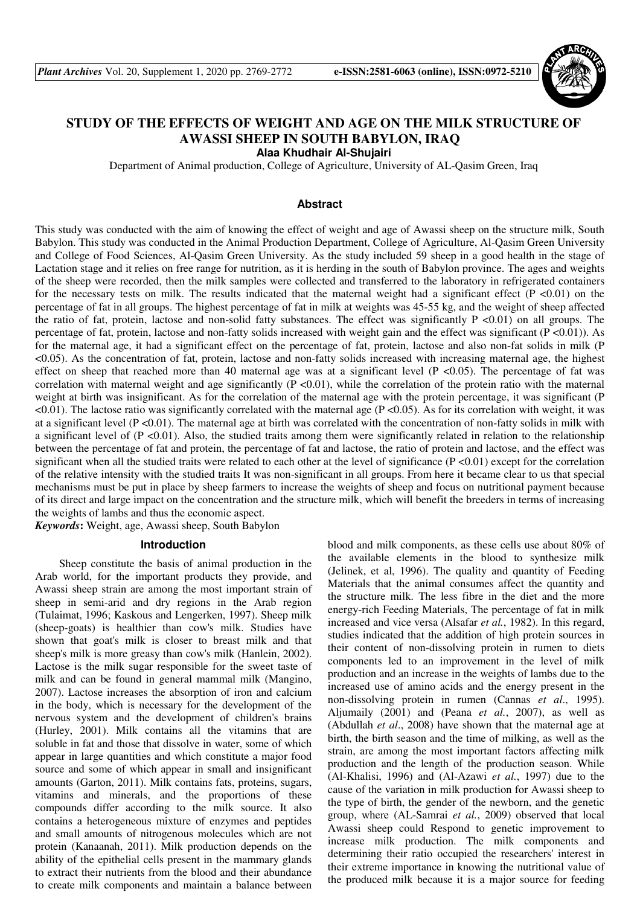

# **STUDY OF THE EFFECTS OF WEIGHT AND AGE ON THE MILK STRUCTURE OF AWASSI SHEEP IN SOUTH BABYLON, IRAQ**

**Alaa Khudhair Al-Shujairi** 

Department of Animal production, College of Agriculture, University of AL-Qasim Green, Iraq

# **Abstract**

This study was conducted with the aim of knowing the effect of weight and age of Awassi sheep on the structure milk, South Babylon. This study was conducted in the Animal Production Department, College of Agriculture, Al-Qasim Green University and College of Food Sciences, Al-Qasim Green University. As the study included 59 sheep in a good health in the stage of Lactation stage and it relies on free range for nutrition, as it is herding in the south of Babylon province. The ages and weights of the sheep were recorded, then the milk samples were collected and transferred to the laboratory in refrigerated containers for the necessary tests on milk. The results indicated that the maternal weight had a significant effect  $(P < 0.01)$  on the percentage of fat in all groups. The highest percentage of fat in milk at weights was 45-55 kg, and the weight of sheep affected the ratio of fat, protein, lactose and non-solid fatty substances. The effect was significantly  $P \lt 0.01$  on all groups. The percentage of fat, protein, lactose and non-fatty solids increased with weight gain and the effect was significant ( $P \le 0.01$ )). As for the maternal age, it had a significant effect on the percentage of fat, protein, lactose and also non-fat solids in milk (P <0.05). As the concentration of fat, protein, lactose and non-fatty solids increased with increasing maternal age, the highest effect on sheep that reached more than 40 maternal age was at a significant level ( $P \lt 0.05$ ). The percentage of fat was correlation with maternal weight and age significantly  $(P \lt 0.01)$ , while the correlation of the protein ratio with the maternal weight at birth was insignificant. As for the correlation of the maternal age with the protein percentage, it was significant (P  $\leq 0.01$ ). The lactose ratio was significantly correlated with the maternal age (P $\leq 0.05$ ). As for its correlation with weight, it was at a significant level  $(P \le 0.01)$ . The maternal age at birth was correlated with the concentration of non-fatty solids in milk with a significant level of  $(P \le 0.01)$ . Also, the studied traits among them were significantly related in relation to the relationship between the percentage of fat and protein, the percentage of fat and lactose, the ratio of protein and lactose, and the effect was significant when all the studied traits were related to each other at the level of significance  $(P < 0.01)$  except for the correlation of the relative intensity with the studied traits It was non-significant in all groups. From here it became clear to us that special mechanisms must be put in place by sheep farmers to increase the weights of sheep and focus on nutritional payment because of its direct and large impact on the concentration and the structure milk, which will benefit the breeders in terms of increasing the weights of lambs and thus the economic aspect.

*Keywords***:** Weight, age, Awassi sheep, South Babylon

### **Introduction**

Sheep constitute the basis of animal production in the Arab world, for the important products they provide, and Awassi sheep strain are among the most important strain of sheep in semi-arid and dry regions in the Arab region (Tulaimat, 1996; Kaskous and Lengerken, 1997). Sheep milk (sheep-goats) is healthier than cow's milk. Studies have shown that goat's milk is closer to breast milk and that sheep's milk is more greasy than cow's milk (Hanlein, 2002). Lactose is the milk sugar responsible for the sweet taste of milk and can be found in general mammal milk (Mangino, 2007). Lactose increases the absorption of iron and calcium in the body, which is necessary for the development of the nervous system and the development of children's brains (Hurley, 2001). Milk contains all the vitamins that are soluble in fat and those that dissolve in water, some of which appear in large quantities and which constitute a major food source and some of which appear in small and insignificant amounts (Garton, 2011). Milk contains fats, proteins, sugars, vitamins and minerals, and the proportions of these compounds differ according to the milk source. It also contains a heterogeneous mixture of enzymes and peptides and small amounts of nitrogenous molecules which are not protein (Kanaanah, 2011). Milk production depends on the ability of the epithelial cells present in the mammary glands to extract their nutrients from the blood and their abundance to create milk components and maintain a balance between blood and milk components, as these cells use about 80% of the available elements in the blood to synthesize milk (Jelinek, et al, 1996). The quality and quantity of Feeding Materials that the animal consumes affect the quantity and the structure milk. The less fibre in the diet and the more energy-rich Feeding Materials, The percentage of fat in milk increased and vice versa (Alsafar *et al.*, 1982). In this regard, studies indicated that the addition of high protein sources in their content of non-dissolving protein in rumen to diets components led to an improvement in the level of milk production and an increase in the weights of lambs due to the increased use of amino acids and the energy present in the non-dissolving protein in rumen (Cannas *et al*., 1995). Aljumaily (2001) and (Peana *et al.*, 2007), as well as (Abdullah *et al*., 2008) have shown that the maternal age at birth, the birth season and the time of milking, as well as the strain, are among the most important factors affecting milk production and the length of the production season. While (Al-Khalisi, 1996) and (Al-Azawi *et al.*, 1997) due to the cause of the variation in milk production for Awassi sheep to the type of birth, the gender of the newborn, and the genetic group, where (AL-Samrai *et al.*, 2009) observed that local Awassi sheep could Respond to genetic improvement to increase milk production. The milk components and determining their ratio occupied the researchers' interest in their extreme importance in knowing the nutritional value of the produced milk because it is a major source for feeding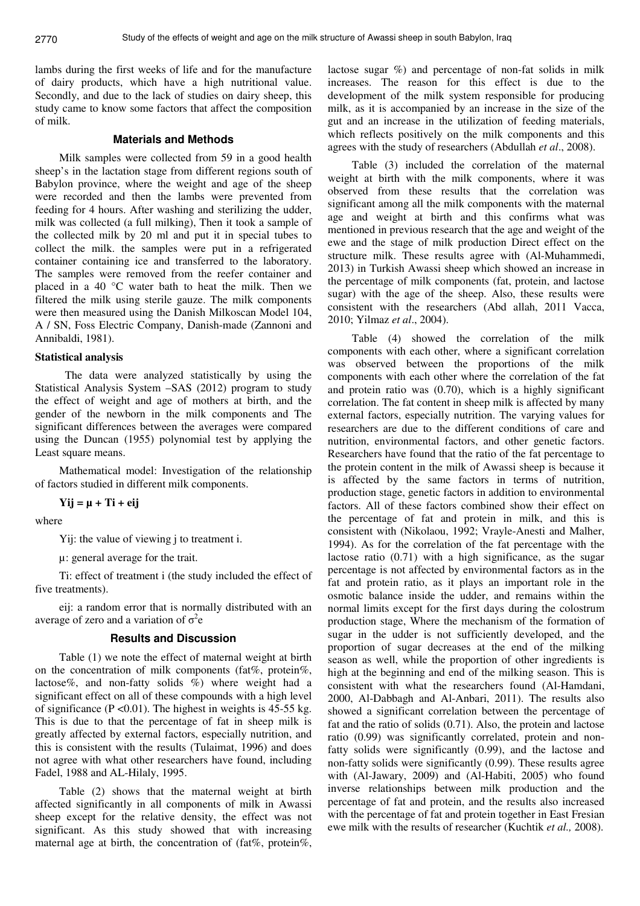lambs during the first weeks of life and for the manufacture of dairy products, which have a high nutritional value. Secondly, and due to the lack of studies on dairy sheep, this study came to know some factors that affect the composition of milk.

## **Materials and Methods**

Milk samples were collected from 59 in a good health sheep's in the lactation stage from different regions south of Babylon province, where the weight and age of the sheep were recorded and then the lambs were prevented from feeding for 4 hours. After washing and sterilizing the udder, milk was collected (a full milking), Then it took a sample of the collected milk by 20 ml and put it in special tubes to collect the milk. the samples were put in a refrigerated container containing ice and transferred to the laboratory. The samples were removed from the reefer container and placed in a 40 °C water bath to heat the milk. Then we filtered the milk using sterile gauze. The milk components were then measured using the Danish Milkoscan Model 104, A / SN, Foss Electric Company, Danish-made (Zannoni and Annibaldi, 1981).

#### **Statistical analysis**

 The data were analyzed statistically by using the Statistical Analysis System –SAS (2012) program to study the effect of weight and age of mothers at birth, and the gender of the newborn in the milk components and The significant differences between the averages were compared using the Duncan (1955) polynomial test by applying the Least square means.

Mathematical model: Investigation of the relationship of factors studied in different milk components.

**Yij = µ + Ti + eij** 

where

Yij: the value of viewing j to treatment i.

µ: general average for the trait.

Ti: effect of treatment i (the study included the effect of five treatments).

eij: a random error that is normally distributed with an average of zero and a variation of  $\sigma^2$ e

#### **Results and Discussion**

Table (1) we note the effect of maternal weight at birth on the concentration of milk components (fat%, protein%, lactose%, and non-fatty solids %) where weight had a significant effect on all of these compounds with a high level of significance ( $P \le 0.01$ ). The highest in weights is 45-55 kg. This is due to that the percentage of fat in sheep milk is greatly affected by external factors, especially nutrition, and this is consistent with the results (Tulaimat, 1996) and does not agree with what other researchers have found, including Fadel, 1988 and AL-Hilaly, 1995.

Table (2) shows that the maternal weight at birth affected significantly in all components of milk in Awassi sheep except for the relative density, the effect was not significant. As this study showed that with increasing maternal age at birth, the concentration of (fat%, protein%,

lactose sugar %) and percentage of non-fat solids in milk increases. The reason for this effect is due to the development of the milk system responsible for producing milk, as it is accompanied by an increase in the size of the gut and an increase in the utilization of feeding materials, which reflects positively on the milk components and this agrees with the study of researchers (Abdullah *et al*., 2008).

Table (3) included the correlation of the maternal weight at birth with the milk components, where it was observed from these results that the correlation was significant among all the milk components with the maternal age and weight at birth and this confirms what was mentioned in previous research that the age and weight of the ewe and the stage of milk production Direct effect on the structure milk. These results agree with (Al-Muhammedi, 2013) in Turkish Awassi sheep which showed an increase in the percentage of milk components (fat, protein, and lactose sugar) with the age of the sheep. Also, these results were consistent with the researchers (Abd allah, 2011 Vacca, 2010; Yilmaz *et al*., 2004).

Table (4) showed the correlation of the milk components with each other, where a significant correlation was observed between the proportions of the milk components with each other where the correlation of the fat and protein ratio was (0.70), which is a highly significant correlation. The fat content in sheep milk is affected by many external factors, especially nutrition. The varying values for researchers are due to the different conditions of care and nutrition, environmental factors, and other genetic factors. Researchers have found that the ratio of the fat percentage to the protein content in the milk of Awassi sheep is because it is affected by the same factors in terms of nutrition, production stage, genetic factors in addition to environmental factors. All of these factors combined show their effect on the percentage of fat and protein in milk, and this is consistent with (Nikolaou, 1992; Vrayle-Anesti and Malher, 1994). As for the correlation of the fat percentage with the lactose ratio (0.71) with a high significance, as the sugar percentage is not affected by environmental factors as in the fat and protein ratio, as it plays an important role in the osmotic balance inside the udder, and remains within the normal limits except for the first days during the colostrum production stage, Where the mechanism of the formation of sugar in the udder is not sufficiently developed, and the proportion of sugar decreases at the end of the milking season as well, while the proportion of other ingredients is high at the beginning and end of the milking season. This is consistent with what the researchers found (Al-Hamdani, 2000, Al-Dabbagh and Al-Anbari, 2011). The results also showed a significant correlation between the percentage of fat and the ratio of solids (0.71). Also, the protein and lactose ratio (0.99) was significantly correlated, protein and nonfatty solids were significantly (0.99), and the lactose and non-fatty solids were significantly (0.99). These results agree with (Al-Jawary, 2009) and (Al-Habiti, 2005) who found inverse relationships between milk production and the percentage of fat and protein, and the results also increased with the percentage of fat and protein together in East Fresian ewe milk with the results of researcher (Kuchtik *et al.,* 2008).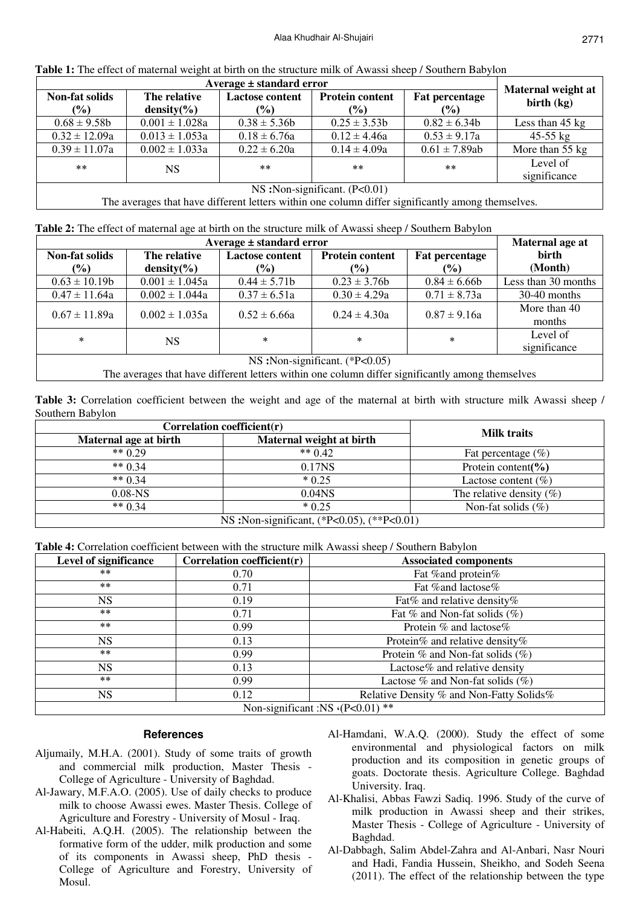| Average $\pm$ standard error                                                                                                                                                                            |                                 |                                         |                                         | Maternal weight at              |                           |
|---------------------------------------------------------------------------------------------------------------------------------------------------------------------------------------------------------|---------------------------------|-----------------------------------------|-----------------------------------------|---------------------------------|---------------------------|
| <b>Non-fat solids</b><br>$(\%)$                                                                                                                                                                         | The relative<br>density $(\% )$ | <b>Lactose content</b><br>$\frac{1}{2}$ | <b>Protein content</b><br>$\frac{6}{6}$ | <b>Fat percentage</b><br>$($ %) | birth $(kg)$              |
| $0.68 \pm 9.58$ b                                                                                                                                                                                       | $0.001 \pm 1.028a$              | $0.38 \pm 5.36b$                        | $0.25 \pm 3.53b$                        | $0.82 \pm 6.34$                 | Less than $45 \text{ kg}$ |
| $0.32 \pm 12.09a$                                                                                                                                                                                       | $0.013 \pm 1.053a$              | $0.18 \pm 6.76a$                        | $0.12 \pm 4.46a$                        | $0.53 \pm 9.17a$                | $45-55$ kg                |
| $0.39 \pm 11.07a$                                                                                                                                                                                       | $0.002 \pm 1.033a$              | $0.22 \pm 6.20a$                        | $0.14 \pm 4.09a$                        | $0.61 \pm 7.89ab$               | More than 55 kg           |
| $***$                                                                                                                                                                                                   | NS                              | $***$                                   | $***$                                   | $**$                            | Level of<br>significance  |
| $\mathbf{M} \mathbf{C}$ $\mathbf{M}$ $\mathbf{C}$ $\mathbf{C}$ $\mathbf{C}$ $\mathbf{C}$ $\mathbf{C}$ $\mathbf{C}$ $\mathbf{D}$ $\mathbf{A} \mathbf{D}$ $\mathbf{A} \mathbf{D}$ $\mathbf{A} \mathbf{D}$ |                                 |                                         |                                         |                                 |                           |

| <b>Table 1:</b> The effect of maternal weight at birth on the structure milk of Awassi sheep / Southern Babylon |  |  |
|-----------------------------------------------------------------------------------------------------------------|--|--|
|-----------------------------------------------------------------------------------------------------------------|--|--|

NS :Non-significant. (P<0.01)

The averages that have different letters within one column differ significantly among themselves.

|  |  |  | Table 2: The effect of maternal age at birth on the structure milk of Awassi sheep / Southern Babylon |
|--|--|--|-------------------------------------------------------------------------------------------------------|
|  |  |  |                                                                                                       |

| Average $\pm$ standard error     |                    |                        |                        | Maternal age at       |                          |
|----------------------------------|--------------------|------------------------|------------------------|-----------------------|--------------------------|
| Non-fat solids                   | The relative       | <b>Lactose content</b> | <b>Protein content</b> | <b>Fat percentage</b> | <b>birth</b>             |
| (%)                              | $density(\% )$     | $\frac{1}{2}$          | $\frac{1}{2}$          | $($ %)                | (Month)                  |
| $0.63 \pm 10.19b$                | $0.001 \pm 1.045a$ | $0.44 \pm 5.71b$       | $0.23 \pm 3.76b$       | $0.84 \pm 6.66$       | Less than 30 months      |
| $0.47 \pm 11.64a$                | $0.002 \pm 1.044a$ | $0.37 \pm 6.51a$       | $0.30 \pm 4.29a$       | $0.71 \pm 8.73a$      | $30-40$ months           |
| $0.67 \pm 11.89a$                | $0.002 \pm 1.035a$ | $0.52 \pm 6.66a$       | $0.24 \pm 4.30a$       | $0.87 \pm 9.16a$      | More than 40<br>months   |
| *                                | <b>NS</b>          | $\ast$                 | $\ast$                 | $\ast$                | Level of<br>significance |
| NS: Non-significant. $(*P<0.05)$ |                    |                        |                        |                       |                          |

The averages that have different letters within one column differ significantly among themselves

**Table 3:** Correlation coefficient between the weight and age of the maternal at birth with structure milk Awassi sheep / Southern Babylon

| Correlation coefficient $(r)$              | <b>Milk traits</b>       |                             |  |  |
|--------------------------------------------|--------------------------|-----------------------------|--|--|
| Maternal age at birth                      | Maternal weight at birth |                             |  |  |
| ** $0.29$                                  | ** $0.42$                | Fat percentage $(\% )$      |  |  |
| $** 0.34$                                  | 0.17NS                   | Protein content( $\%$ )     |  |  |
| ** $0.34$                                  | $*0.25$                  | Lactose content $(\% )$     |  |  |
| $0.08 - NS$                                | 0.04 <sub>NS</sub>       | The relative density $(\%)$ |  |  |
| ** $0.34$                                  | $*0.25$                  | Non-fat solids $(\% )$      |  |  |
| NS: Non-significant, (*P<0.05), (**P<0.01) |                          |                             |  |  |

**Table 4:** Correlation coefficient between with the structure milk Awassi sheep / Southern Babylon

| <b>Level of significance</b>    | Correlation coefficient $(r)$ | <b>Associated components</b>             |  |  |
|---------------------------------|-------------------------------|------------------------------------------|--|--|
| $***$                           | 0.70                          | Fat % and protein%                       |  |  |
| $***$                           | 0.71                          | Fat % and lactose%                       |  |  |
| NS.                             | 0.19                          | Fat% and relative density%               |  |  |
| **                              | 0.71                          | Fat % and Non-fat solids $(\%)$          |  |  |
| $***$                           | 0.99                          | Protein % and lactose%                   |  |  |
| <b>NS</b>                       | 0.13                          | Protein% and relative density%           |  |  |
| $***$                           | 0.99                          | Protein $\%$ and Non-fat solids $(\%)$   |  |  |
| <b>NS</b>                       | 0.13                          | Lactose% and relative density            |  |  |
| $***$                           | 0.99                          | Lactose $\%$ and Non-fat solids $(\% )$  |  |  |
| <b>NS</b>                       | 0.12                          | Relative Density % and Non-Fatty Solids% |  |  |
| Non-significant :NS (P<0.01) ** |                               |                                          |  |  |

# **References**

- Aljumaily, M.H.A. (2001). Study of some traits of growth and commercial milk production, Master Thesis - College of Agriculture - University of Baghdad.
- Al-Jawary, M.F.A.O. (2005). Use of daily checks to produce milk to choose Awassi ewes. Master Thesis. College of Agriculture and Forestry - University of Mosul - Iraq.
- Al-Habeiti, A.Q.H. (2005). The relationship between the formative form of the udder, milk production and some of its components in Awassi sheep, PhD thesis - College of Agriculture and Forestry, University of Mosul.
- Al-Hamdani, W.A.Q. (2000). Study the effect of some environmental and physiological factors on milk production and its composition in genetic groups of goats. Doctorate thesis. Agriculture College. Baghdad University. Iraq.
- Al-Khalisi, Abbas Fawzi Sadiq. 1996. Study of the curve of milk production in Awassi sheep and their strikes, Master Thesis - College of Agriculture - University of Baghdad.
- Al-Dabbagh, Salim Abdel-Zahra and Al-Anbari, Nasr Nouri and Hadi, Fandia Hussein, Sheikho, and Sodeh Seena (2011). The effect of the relationship between the type